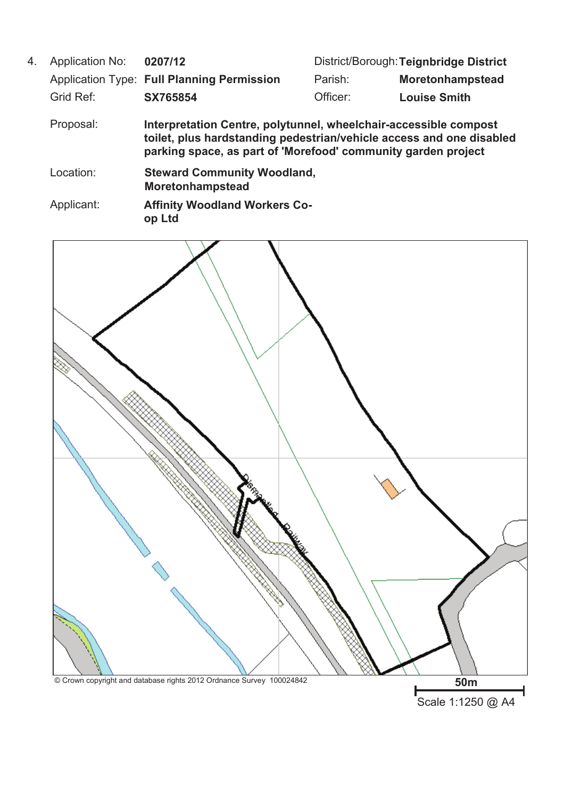Application No: **0207/12** Application Type: Full Planning Permission Parish: **Moretonhampstead** Proposal: **Interpretation Centre, polytunnel, wheelchair-accessible compost toilet, plus hardstanding pedestrian/vehicle access and one disabled parking space, as part of 'Morefood' community garden project** District/Borough:**Teignbridge District** Grid Ref: **SX765854** Officer: **Louise Smith** Applicant: **Affinity Woodland Workers Coop Ltd** 4. Location: **Steward Community Woodland, Moretonhampstead**



Scale 1:1250 @ A4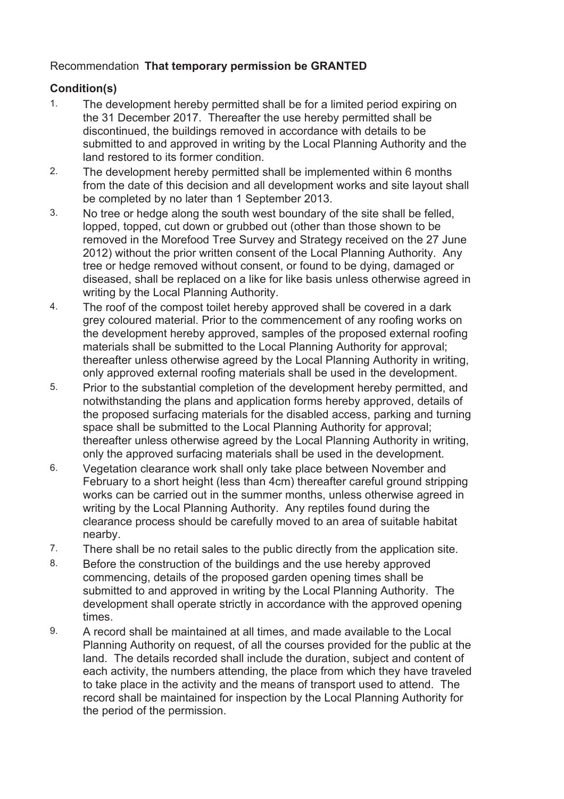# Recommendation **That temporary permission be GRANTED**

# **Condition(s)**

- The development hereby permitted shall be for a limited period expiring on the 31 December 2017. Thereafter the use hereby permitted shall be discontinued, the buildings removed in accordance with details to be submitted to and approved in writing by the Local Planning Authority and the land restored to its former condition. 1.
- The development hereby permitted shall be implemented within 6 months from the date of this decision and all development works and site layout shall be completed by no later than 1 September 2013. 2.
- No tree or hedge along the south west boundary of the site shall be felled, lopped, topped, cut down or grubbed out (other than those shown to be removed in the Morefood Tree Survey and Strategy received on the 27 June 2012) without the prior written consent of the Local Planning Authority. Any tree or hedge removed without consent, or found to be dying, damaged or diseased, shall be replaced on a like for like basis unless otherwise agreed in writing by the Local Planning Authority. 3.
- The roof of the compost toilet hereby approved shall be covered in a dark grey coloured material. Prior to the commencement of any roofing works on the development hereby approved, samples of the proposed external roofing materials shall be submitted to the Local Planning Authority for approval; thereafter unless otherwise agreed by the Local Planning Authority in writing, only approved external roofing materials shall be used in the development. 4.
- Prior to the substantial completion of the development hereby permitted, and notwithstanding the plans and application forms hereby approved, details of the proposed surfacing materials for the disabled access, parking and turning space shall be submitted to the Local Planning Authority for approval; thereafter unless otherwise agreed by the Local Planning Authority in writing, only the approved surfacing materials shall be used in the development. 5.
- Vegetation clearance work shall only take place between November and February to a short height (less than 4cm) thereafter careful ground stripping works can be carried out in the summer months, unless otherwise agreed in writing by the Local Planning Authority. Any reptiles found during the clearance process should be carefully moved to an area of suitable habitat nearby. 6.
- 7. There shall be no retail sales to the public directly from the application site.
- Before the construction of the buildings and the use hereby approved commencing, details of the proposed garden opening times shall be submitted to and approved in writing by the Local Planning Authority. The development shall operate strictly in accordance with the approved opening times. 8.
- A record shall be maintained at all times, and made available to the Local Planning Authority on request, of all the courses provided for the public at the land. The details recorded shall include the duration, subject and content of each activity, the numbers attending, the place from which they have traveled to take place in the activity and the means of transport used to attend. The record shall be maintained for inspection by the Local Planning Authority for the period of the permission. 9.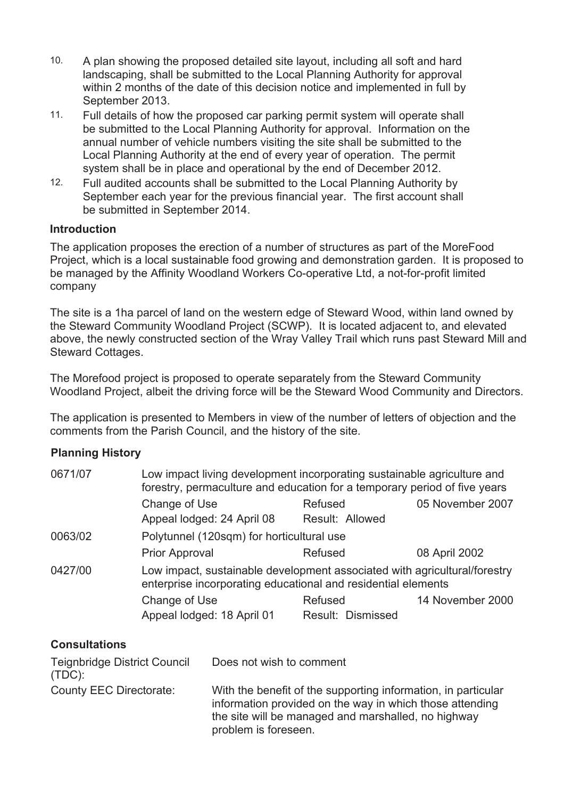- A plan showing the proposed detailed site layout, including all soft and hard landscaping, shall be submitted to the Local Planning Authority for approval within 2 months of the date of this decision notice and implemented in full by September 2013. 10.
- Full details of how the proposed car parking permit system will operate shall be submitted to the Local Planning Authority for approval. Information on the annual number of vehicle numbers visiting the site shall be submitted to the Local Planning Authority at the end of every year of operation. The permit system shall be in place and operational by the end of December 2012. 11.
- Full audited accounts shall be submitted to the Local Planning Authority by September each year for the previous financial year. The first account shall be submitted in September 2014. 12.

#### **Introduction**

The application proposes the erection of a number of structures as part of the MoreFood Project, which is a local sustainable food growing and demonstration garden. It is proposed to be managed by the Affinity Woodland Workers Co-operative Ltd, a not-for-profit limited company

The site is a 1ha parcel of land on the western edge of Steward Wood, within land owned by the Steward Community Woodland Project (SCWP). It is located adjacent to, and elevated above, the newly constructed section of the Wray Valley Trail which runs past Steward Mill and Steward Cottages.

The Morefood project is proposed to operate separately from the Steward Community Woodland Project, albeit the driving force will be the Steward Wood Community and Directors.

The application is presented to Members in view of the number of letters of objection and the comments from the Parish Council, and the history of the site.

# **Planning History**

| 0671/07 | Low impact living development incorporating sustainable agriculture and<br>forestry, permaculture and education for a temporary period of five years |                              |                  |
|---------|------------------------------------------------------------------------------------------------------------------------------------------------------|------------------------------|------------------|
|         | Change of Use<br>Appeal lodged: 24 April 08                                                                                                          | Refused<br>Result: Allowed   | 05 November 2007 |
| 0063/02 | Polytunnel (120sqm) for horticultural use                                                                                                            |                              |                  |
|         | <b>Prior Approval</b>                                                                                                                                | Refused                      | 08 April 2002    |
| 0427/00 | Low impact, sustainable development associated with agricultural/forestry<br>enterprise incorporating educational and residential elements           |                              |                  |
|         | Change of Use<br>Appeal lodged: 18 April 01                                                                                                          | Refused<br>Result: Dismissed | 14 November 2000 |

# **Consultations**

| <b>Teignbridge District Council</b><br>$(TDC)$ : | Does not wish to comment                                                                                                                                                                                 |
|--------------------------------------------------|----------------------------------------------------------------------------------------------------------------------------------------------------------------------------------------------------------|
| County EEC Directorate:                          | With the benefit of the supporting information, in particular<br>information provided on the way in which those attending<br>the site will be managed and marshalled, no highway<br>problem is foreseen. |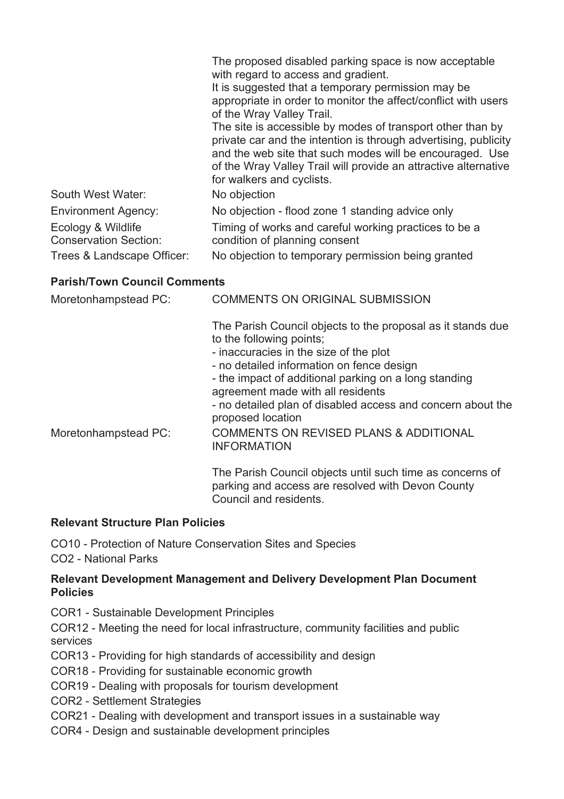|                                                    | The proposed disabled parking space is now acceptable<br>with regard to access and gradient.<br>It is suggested that a temporary permission may be<br>appropriate in order to monitor the affect/conflict with users<br>of the Wray Valley Trail.<br>The site is accessible by modes of transport other than by<br>private car and the intention is through advertising, publicity<br>and the web site that such modes will be encouraged. Use<br>of the Wray Valley Trail will provide an attractive alternative<br>for walkers and cyclists. |
|----------------------------------------------------|------------------------------------------------------------------------------------------------------------------------------------------------------------------------------------------------------------------------------------------------------------------------------------------------------------------------------------------------------------------------------------------------------------------------------------------------------------------------------------------------------------------------------------------------|
| South West Water:                                  | No objection                                                                                                                                                                                                                                                                                                                                                                                                                                                                                                                                   |
| <b>Environment Agency:</b>                         | No objection - flood zone 1 standing advice only                                                                                                                                                                                                                                                                                                                                                                                                                                                                                               |
| Ecology & Wildlife<br><b>Conservation Section:</b> | Timing of works and careful working practices to be a<br>condition of planning consent                                                                                                                                                                                                                                                                                                                                                                                                                                                         |
| Trees & Landscape Officer:                         | No objection to temporary permission being granted                                                                                                                                                                                                                                                                                                                                                                                                                                                                                             |

# **Parish/Town Council Comments**

| Moretonhampstead PC: | <b>COMMENTS ON ORIGINAL SUBMISSION</b>                                                                                                                                         |
|----------------------|--------------------------------------------------------------------------------------------------------------------------------------------------------------------------------|
|                      | The Parish Council objects to the proposal as it stands due<br>to the following points;<br>- inaccuracies in the size of the plot<br>- no detailed information on fence design |
|                      | - the impact of additional parking on a long standing<br>agreement made with all residents<br>- no detailed plan of disabled access and concern about the<br>proposed location |
| Moretonhampstead PC: | <b>COMMENTS ON REVISED PLANS &amp; ADDITIONAL</b><br><b>INFORMATION</b>                                                                                                        |
|                      | The Parish Council objects until such time as concerns of<br>parking and access are resolved with Devon County<br>Council and residents.                                       |

# **Relevant Structure Plan Policies**

CO10 - Protection of Nature Conservation Sites and Species

CO2 - National Parks

### **Relevant Development Management and Delivery Development Plan Document Policies**

COR1 - Sustainable Development Principles

COR12 - Meeting the need for local infrastructure, community facilities and public services

- COR13 Providing for high standards of accessibility and design
- COR18 Providing for sustainable economic growth
- COR19 Dealing with proposals for tourism development
- COR2 Settlement Strategies
- COR21 Dealing with development and transport issues in a sustainable way
- COR4 Design and sustainable development principles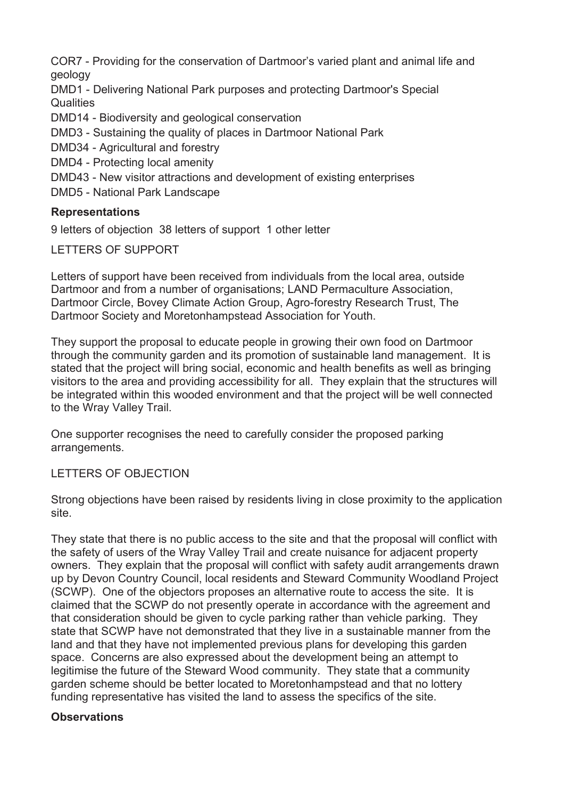COR7 - Providing for the conservation of Dartmoor's varied plant and animal life and geology

DMD1 - Delivering National Park purposes and protecting Dartmoor's Special **Qualities** 

DMD14 - Biodiversity and geological conservation

DMD3 - Sustaining the quality of places in Dartmoor National Park

DMD34 - Agricultural and forestry

DMD4 - Protecting local amenity

DMD43 - New visitor attractions and development of existing enterprises

DMD5 - National Park Landscape

# **Representations**

9 letters of objection 38 letters of support 1 other letter

LETTERS OF SUPPORT

Letters of support have been received from individuals from the local area, outside Dartmoor and from a number of organisations; LAND Permaculture Association, Dartmoor Circle, Bovey Climate Action Group, Agro-forestry Research Trust, The Dartmoor Society and Moretonhampstead Association for Youth.

They support the proposal to educate people in growing their own food on Dartmoor through the community garden and its promotion of sustainable land management. It is stated that the project will bring social, economic and health benefits as well as bringing visitors to the area and providing accessibility for all. They explain that the structures will be integrated within this wooded environment and that the project will be well connected to the Wray Valley Trail.

One supporter recognises the need to carefully consider the proposed parking arrangements.

# LETTERS OF OBJECTION

Strong objections have been raised by residents living in close proximity to the application site.

They state that there is no public access to the site and that the proposal will conflict with the safety of users of the Wray Valley Trail and create nuisance for adjacent property owners. They explain that the proposal will conflict with safety audit arrangements drawn up by Devon Country Council, local residents and Steward Community Woodland Project (SCWP). One of the objectors proposes an alternative route to access the site. It is claimed that the SCWP do not presently operate in accordance with the agreement and that consideration should be given to cycle parking rather than vehicle parking. They state that SCWP have not demonstrated that they live in a sustainable manner from the land and that they have not implemented previous plans for developing this garden space. Concerns are also expressed about the development being an attempt to legitimise the future of the Steward Wood community. They state that a community garden scheme should be better located to Moretonhampstead and that no lottery funding representative has visited the land to assess the specifics of the site.

# **Observations**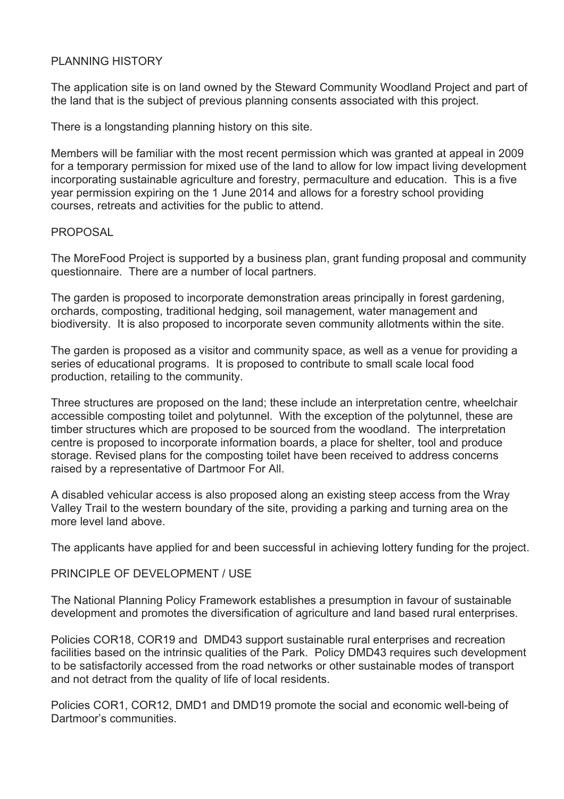### PI ANNING HISTORY

The application site is on land owned by the Steward Community Woodland Project and part of the land that is the subject of previous planning consents associated with this project.

There is a longstanding planning history on this site.

Members will be familiar with the most recent permission which was granted at appeal in 2009 for a temporary permission for mixed use of the land to allow for low impact living development incorporating sustainable agriculture and forestry, permaculture and education. This is a five year permission expiring on the 1 June 2014 and allows for a forestry school providing courses, retreats and activities for the public to attend.

#### **PROPOSAL**

The MoreFood Project is supported by a business plan, grant funding proposal and community questionnaire. There are a number of local partners.

The garden is proposed to incorporate demonstration areas principally in forest gardening, orchards, composting, traditional hedging, soil management, water management and biodiversity. It is also proposed to incorporate seven community allotments within the site.

The garden is proposed as a visitor and community space, as well as a venue for providing a series of educational programs. It is proposed to contribute to small scale local food production, retailing to the community.

Three structures are proposed on the land; these include an interpretation centre, wheelchair accessible composting toilet and polytunnel. With the exception of the polytunnel, these are timber structures which are proposed to be sourced from the woodland. The interpretation centre is proposed to incorporate information boards, a place for shelter, tool and produce storage. Revised plans for the composting toilet have been received to address concerns raised by a representative of Dartmoor For All.

A disabled vehicular access is also proposed along an existing steep access from the Wray Valley Trail to the western boundary of the site, providing a parking and turning area on the more level land above.

The applicants have applied for and been successful in achieving lottery funding for the project.

#### PRINCIPLE OF DEVELOPMENT / USE

The National Planning Policy Framework establishes a presumption in favour of sustainable development and promotes the diversification of agriculture and land based rural enterprises.

Policies COR18, COR19 and DMD43 support sustainable rural enterprises and recreation facilities based on the intrinsic qualities of the Park. Policy DMD43 requires such development to be satisfactorily accessed from the road networks or other sustainable modes of transport and not detract from the quality of life of local residents.

Policies COR1, COR12, DMD1 and DMD19 promote the social and economic well-being of Dartmoor's communities.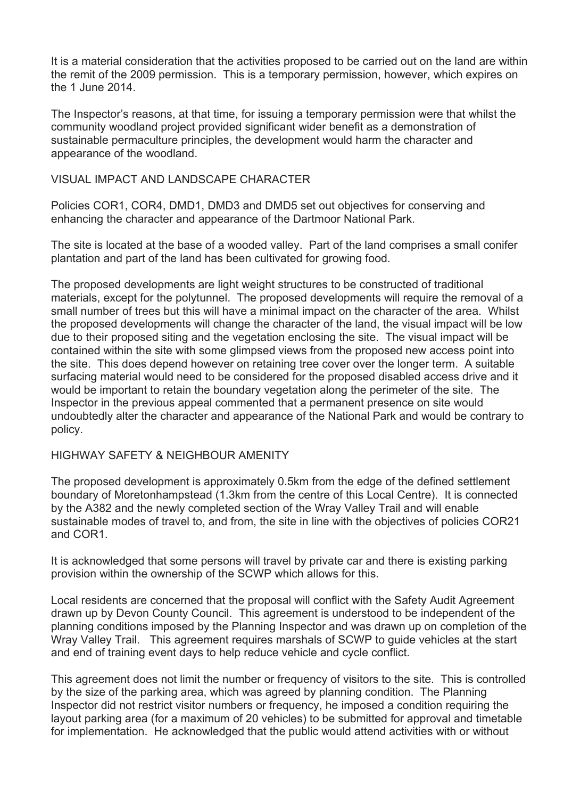It is a material consideration that the activities proposed to be carried out on the land are within the remit of the 2009 permission. This is a temporary permission, however, which expires on the 1 June 2014.

The Inspector's reasons, at that time, for issuing a temporary permission were that whilst the community woodland project provided significant wider benefit as a demonstration of sustainable permaculture principles, the development would harm the character and appearance of the woodland.

#### VISUAL IMPACT AND LANDSCAPE CHARACTER

Policies COR1, COR4, DMD1, DMD3 and DMD5 set out objectives for conserving and enhancing the character and appearance of the Dartmoor National Park.

The site is located at the base of a wooded valley. Part of the land comprises a small conifer plantation and part of the land has been cultivated for growing food.

The proposed developments are light weight structures to be constructed of traditional materials, except for the polytunnel. The proposed developments will require the removal of a small number of trees but this will have a minimal impact on the character of the area. Whilst the proposed developments will change the character of the land, the visual impact will be low due to their proposed siting and the vegetation enclosing the site. The visual impact will be contained within the site with some glimpsed views from the proposed new access point into the site. This does depend however on retaining tree cover over the longer term. A suitable surfacing material would need to be considered for the proposed disabled access drive and it would be important to retain the boundary vegetation along the perimeter of the site. The Inspector in the previous appeal commented that a permanent presence on site would undoubtedly alter the character and appearance of the National Park and would be contrary to policy.

#### HIGHWAY SAFETY & NEIGHBOUR AMENITY

The proposed development is approximately 0.5km from the edge of the defined settlement boundary of Moretonhampstead (1.3km from the centre of this Local Centre). It is connected by the A382 and the newly completed section of the Wray Valley Trail and will enable sustainable modes of travel to, and from, the site in line with the objectives of policies COR21 and COR1.

It is acknowledged that some persons will travel by private car and there is existing parking provision within the ownership of the SCWP which allows for this.

Local residents are concerned that the proposal will conflict with the Safety Audit Agreement drawn up by Devon County Council. This agreement is understood to be independent of the planning conditions imposed by the Planning Inspector and was drawn up on completion of the Wray Valley Trail. This agreement requires marshals of SCWP to guide vehicles at the start and end of training event days to help reduce vehicle and cycle conflict.

This agreement does not limit the number or frequency of visitors to the site. This is controlled by the size of the parking area, which was agreed by planning condition. The Planning Inspector did not restrict visitor numbers or frequency, he imposed a condition requiring the layout parking area (for a maximum of 20 vehicles) to be submitted for approval and timetable for implementation. He acknowledged that the public would attend activities with or without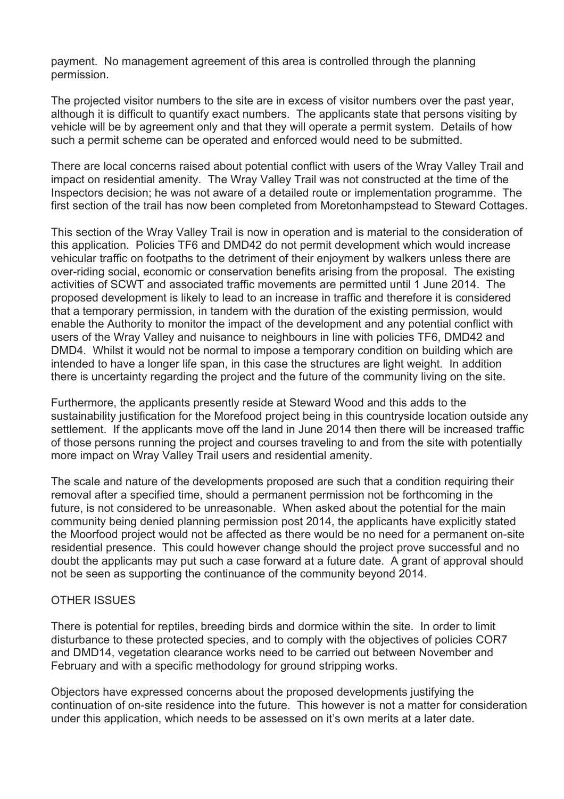payment. No management agreement of this area is controlled through the planning permission.

The projected visitor numbers to the site are in excess of visitor numbers over the past year, although it is difficult to quantify exact numbers. The applicants state that persons visiting by vehicle will be by agreement only and that they will operate a permit system. Details of how such a permit scheme can be operated and enforced would need to be submitted.

There are local concerns raised about potential conflict with users of the Wray Valley Trail and impact on residential amenity. The Wray Valley Trail was not constructed at the time of the Inspectors decision; he was not aware of a detailed route or implementation programme. The first section of the trail has now been completed from Moretonhampstead to Steward Cottages.

This section of the Wray Valley Trail is now in operation and is material to the consideration of this application. Policies TF6 and DMD42 do not permit development which would increase vehicular traffic on footpaths to the detriment of their enjoyment by walkers unless there are over-riding social, economic or conservation benefits arising from the proposal. The existing activities of SCWT and associated traffic movements are permitted until 1 June 2014. The proposed development is likely to lead to an increase in traffic and therefore it is considered that a temporary permission, in tandem with the duration of the existing permission, would enable the Authority to monitor the impact of the development and any potential conflict with users of the Wray Valley and nuisance to neighbours in line with policies TF6, DMD42 and DMD4. Whilst it would not be normal to impose a temporary condition on building which are intended to have a longer life span, in this case the structures are light weight. In addition there is uncertainty regarding the project and the future of the community living on the site.

Furthermore, the applicants presently reside at Steward Wood and this adds to the sustainability justification for the Morefood project being in this countryside location outside any settlement. If the applicants move off the land in June 2014 then there will be increased traffic of those persons running the project and courses traveling to and from the site with potentially more impact on Wray Valley Trail users and residential amenity.

The scale and nature of the developments proposed are such that a condition requiring their removal after a specified time, should a permanent permission not be forthcoming in the future, is not considered to be unreasonable. When asked about the potential for the main community being denied planning permission post 2014, the applicants have explicitly stated the Moorfood project would not be affected as there would be no need for a permanent on-site residential presence. This could however change should the project prove successful and no doubt the applicants may put such a case forward at a future date. A grant of approval should not be seen as supporting the continuance of the community beyond 2014.

#### OTHER ISSUES

There is potential for reptiles, breeding birds and dormice within the site. In order to limit disturbance to these protected species, and to comply with the objectives of policies COR7 and DMD14, vegetation clearance works need to be carried out between November and February and with a specific methodology for ground stripping works.

Objectors have expressed concerns about the proposed developments justifying the continuation of on-site residence into the future. This however is not a matter for consideration under this application, which needs to be assessed on it's own merits at a later date.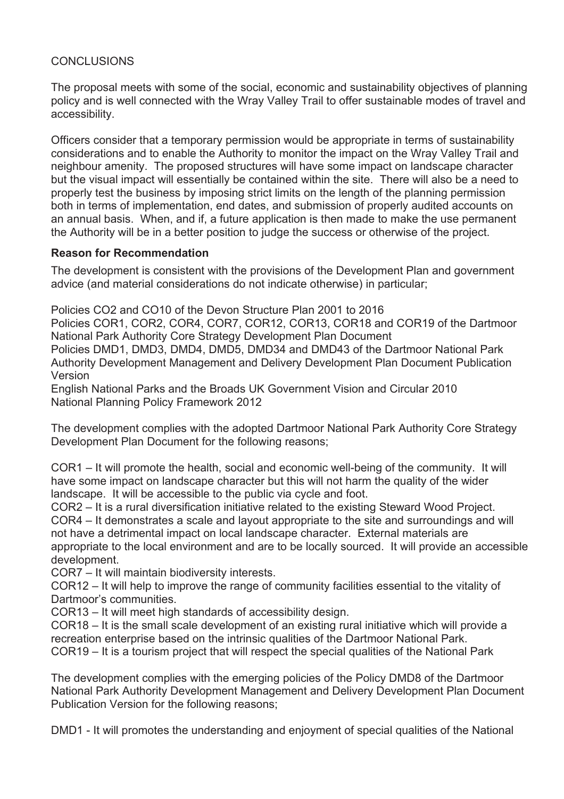### **CONCLUSIONS**

The proposal meets with some of the social, economic and sustainability objectives of planning policy and is well connected with the Wray Valley Trail to offer sustainable modes of travel and accessibility.

Officers consider that a temporary permission would be appropriate in terms of sustainability considerations and to enable the Authority to monitor the impact on the Wray Valley Trail and neighbour amenity. The proposed structures will have some impact on landscape character but the visual impact will essentially be contained within the site. There will also be a need to properly test the business by imposing strict limits on the length of the planning permission both in terms of implementation, end dates, and submission of properly audited accounts on an annual basis. When, and if, a future application is then made to make the use permanent the Authority will be in a better position to judge the success or otherwise of the project.

#### **Reason for Recommendation**

The development is consistent with the provisions of the Development Plan and government advice (and material considerations do not indicate otherwise) in particular;

Policies CO2 and CO10 of the Devon Structure Plan 2001 to 2016

Policies COR1, COR2, COR4, COR7, COR12, COR13, COR18 and COR19 of the Dartmoor National Park Authority Core Strategy Development Plan Document

Policies DMD1, DMD3, DMD4, DMD5, DMD34 and DMD43 of the Dartmoor National Park Authority Development Management and Delivery Development Plan Document Publication Version

English National Parks and the Broads UK Government Vision and Circular 2010 National Planning Policy Framework 2012

The development complies with the adopted Dartmoor National Park Authority Core Strategy Development Plan Document for the following reasons;

COR1 – It will promote the health, social and economic well-being of the community. It will have some impact on landscape character but this will not harm the quality of the wider landscape. It will be accessible to the public via cycle and foot.

COR2 – It is a rural diversification initiative related to the existing Steward Wood Project. COR4 – It demonstrates a scale and layout appropriate to the site and surroundings and will not have a detrimental impact on local landscape character. External materials are appropriate to the local environment and are to be locally sourced. It will provide an accessible development.

COR7 – It will maintain biodiversity interests.

COR12 – It will help to improve the range of community facilities essential to the vitality of Dartmoor's communities.

COR13 – It will meet high standards of accessibility design.

COR18 – It is the small scale development of an existing rural initiative which will provide a recreation enterprise based on the intrinsic qualities of the Dartmoor National Park. COR19 – It is a tourism project that will respect the special qualities of the National Park

The development complies with the emerging policies of the Policy DMD8 of the Dartmoor National Park Authority Development Management and Delivery Development Plan Document Publication Version for the following reasons;

DMD1 - It will promotes the understanding and enjoyment of special qualities of the National